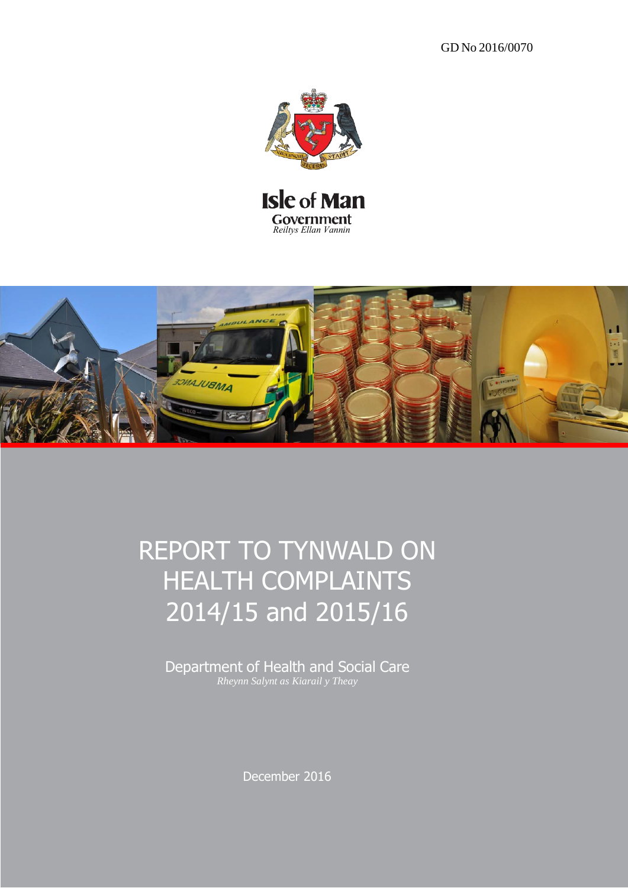GD No 2016/0070





# REPORT TO TYNWALD ON HEALTH COMPLAINTS 2014/15 and 2015/16

Department of Health and Social Care *Rheynn Salynt as Kiarail y Theay*

December 2016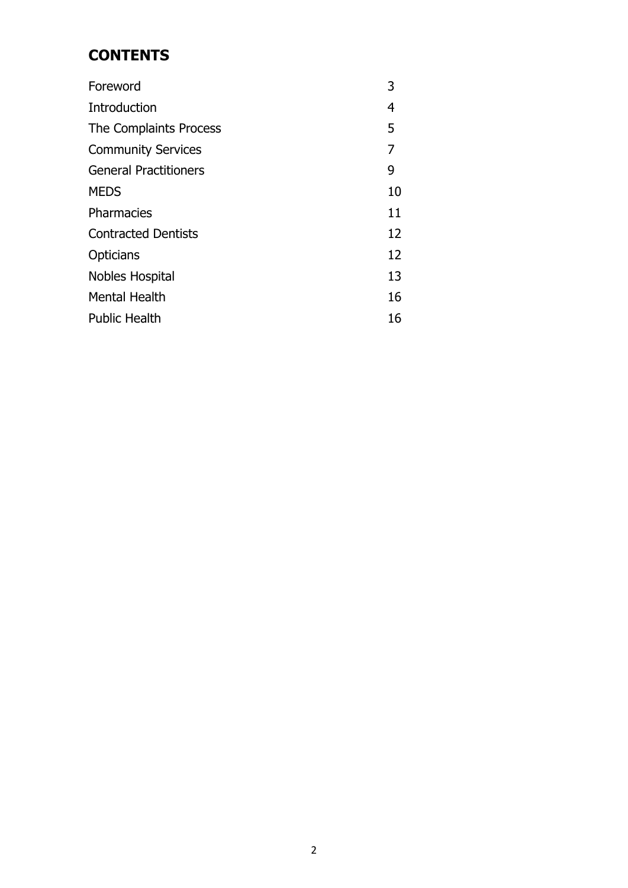# **CONTENTS**

| Foreword                     | 3  |
|------------------------------|----|
| Introduction                 | 4  |
| The Complaints Process       | 5  |
| <b>Community Services</b>    | 7  |
| <b>General Practitioners</b> | 9  |
| <b>MEDS</b>                  | 10 |
| Pharmacies                   | 11 |
| <b>Contracted Dentists</b>   | 12 |
| <b>Opticians</b>             | 12 |
| Nobles Hospital              | 13 |
| <b>Mental Health</b>         | 16 |
| <b>Public Health</b>         | 16 |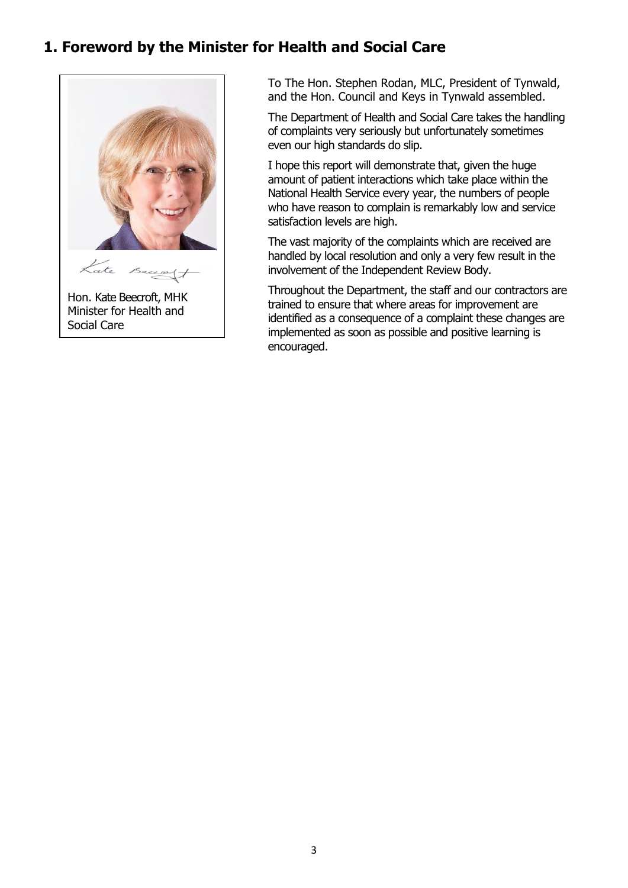## **1. Foreword by the Minister for Health and Social Care**



To The Hon. Stephen Rodan, MLC, President of Tynwald, and the Hon. Council and Keys in Tynwald assembled.

The Department of Health and Social Care takes the handling of complaints very seriously but unfortunately sometimes even our high standards do slip.

I hope this report will demonstrate that, given the huge amount of patient interactions which take place within the National Health Service every year, the numbers of people who have reason to complain is remarkably low and service satisfaction levels are high.

The vast majority of the complaints which are received are handled by local resolution and only a very few result in the involvement of the Independent Review Body.

Throughout the Department, the staff and our contractors are trained to ensure that where areas for improvement are identified as a consequence of a complaint these changes are implemented as soon as possible and positive learning is encouraged.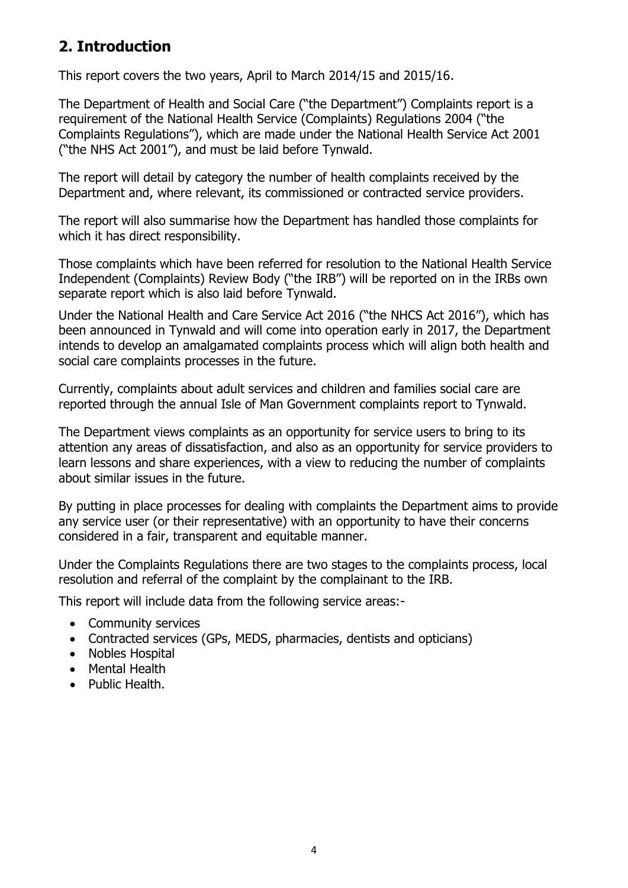# **2. Introduction**

This report covers the two years, April to March 2014/15 and 2015/16.

The Department of Health and Social Care ("the Department") Complaints report is a requirement of the National Health Service (Complaints) Regulations 2004 ("the Complaints Regulations"), which are made under the National Health Service Act 2001 ("the NHS Act 2001"), and must be laid before Tynwald.

The report will detail by category the number of health complaints received by the Department and, where relevant, its commissioned or contracted service providers.

The report will also summarise how the Department has handled those complaints for which it has direct responsibility.

Those complaints which have been referred for resolution to the National Health Service Independent (Complaints) Review Body ("the IRB") will be reported on in the IRBs own separate report which is also laid before Tynwald.

Under the National Health and Care Service Act 2016 ("the NHCS Act 2016"), which has been announced in Tynwald and will come into operation early in 2017, the Department intends to develop an amalgamated complaints process which will align both health and social care complaints processes in the future.

Currently, complaints about adult services and children and families social care are reported through the annual Isle of Man Government complaints report to Tynwald.

The Department views complaints as an opportunity for service users to bring to its attention any areas of dissatisfaction, and also as an opportunity for service providers to learn lessons and share experiences, with a view to reducing the number of complaints about similar issues in the future.

By putting in place processes for dealing with complaints the Department aims to provide any service user (or their representative) with an opportunity to have their concerns considered in a fair, transparent and equitable manner.

Under the Complaints Regulations there are two stages to the complaints process, local resolution and referral of the complaint by the complainant to the IRB.

This report will include data from the following service areas:-

- Community services
- Contracted services (GPs, MEDS, pharmacies, dentists and opticians)
- Nobles Hospital
- Mental Health
- Public Health.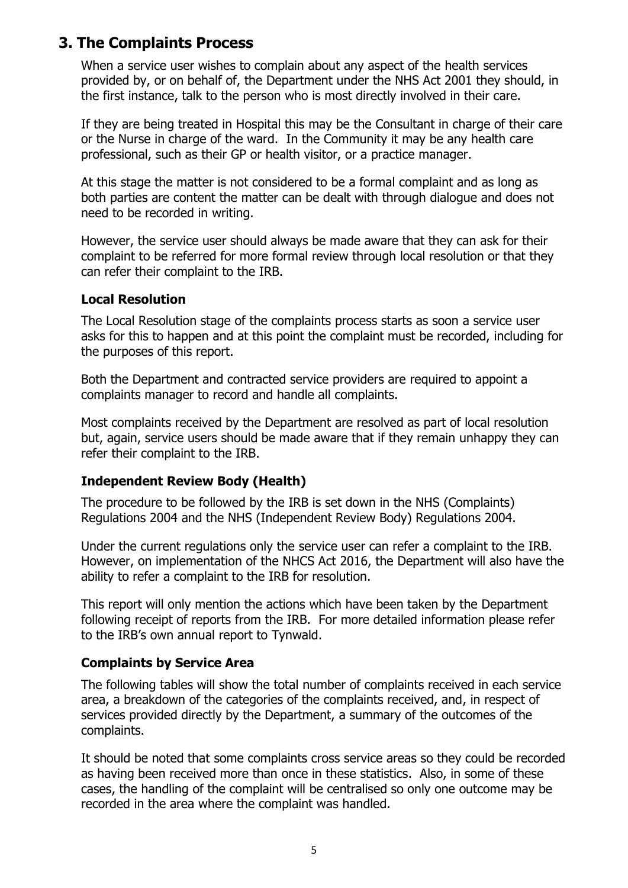## **3. The Complaints Process**

When a service user wishes to complain about any aspect of the health services provided by, or on behalf of, the Department under the NHS Act 2001 they should, in the first instance, talk to the person who is most directly involved in their care.

If they are being treated in Hospital this may be the Consultant in charge of their care or the Nurse in charge of the ward. In the Community it may be any health care professional, such as their GP or health visitor, or a practice manager.

At this stage the matter is not considered to be a formal complaint and as long as both parties are content the matter can be dealt with through dialogue and does not need to be recorded in writing.

However, the service user should always be made aware that they can ask for their complaint to be referred for more formal review through local resolution or that they can refer their complaint to the IRB.

#### **Local Resolution**

The Local Resolution stage of the complaints process starts as soon a service user asks for this to happen and at this point the complaint must be recorded, including for the purposes of this report.

Both the Department and contracted service providers are required to appoint a complaints manager to record and handle all complaints.

Most complaints received by the Department are resolved as part of local resolution but, again, service users should be made aware that if they remain unhappy they can refer their complaint to the IRB.

#### **Independent Review Body (Health)**

The procedure to be followed by the IRB is set down in the NHS (Complaints) Regulations 2004 and the NHS (Independent Review Body) Regulations 2004.

Under the current regulations only the service user can refer a complaint to the IRB. However, on implementation of the NHCS Act 2016, the Department will also have the ability to refer a complaint to the IRB for resolution.

This report will only mention the actions which have been taken by the Department following receipt of reports from the IRB. For more detailed information please refer to the IRB's own annual report to Tynwald.

#### **Complaints by Service Area**

The following tables will show the total number of complaints received in each service area, a breakdown of the categories of the complaints received, and, in respect of services provided directly by the Department, a summary of the outcomes of the complaints.

It should be noted that some complaints cross service areas so they could be recorded as having been received more than once in these statistics. Also, in some of these cases, the handling of the complaint will be centralised so only one outcome may be recorded in the area where the complaint was handled.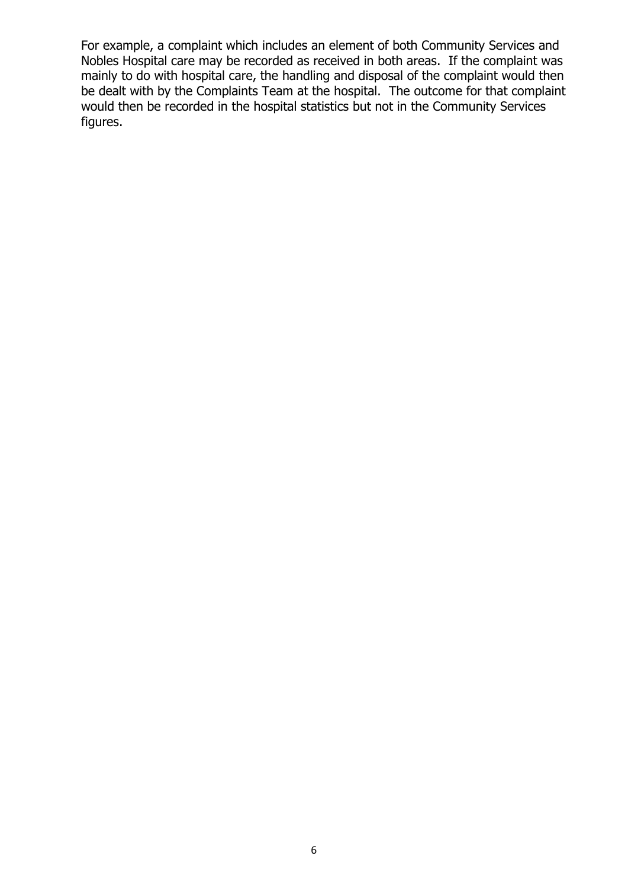For example, a complaint which includes an element of both Community Services and Nobles Hospital care may be recorded as received in both areas. If the complaint was mainly to do with hospital care, the handling and disposal of the complaint would then be dealt with by the Complaints Team at the hospital. The outcome for that complaint would then be recorded in the hospital statistics but not in the Community Services figures.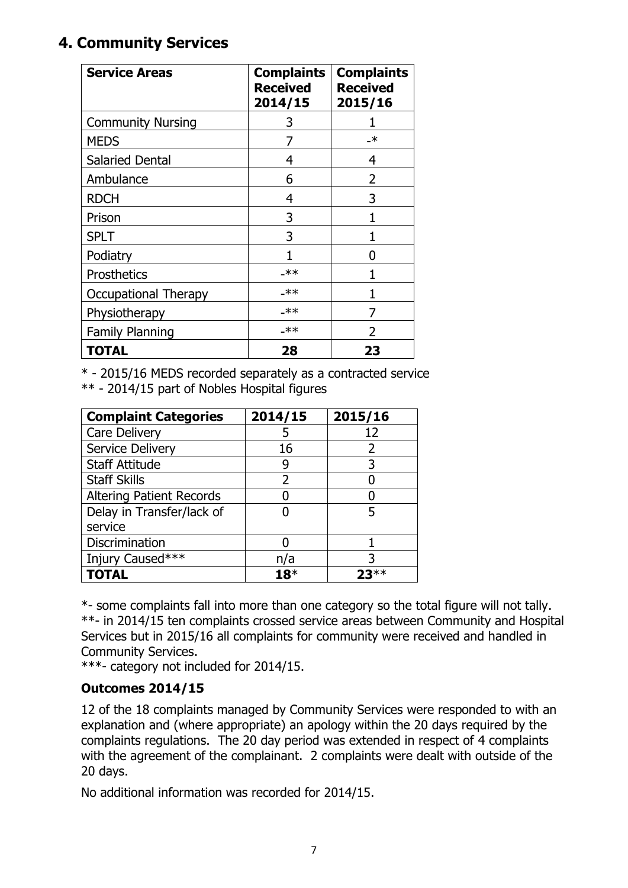# **4. Community Services**

| <b>Service Areas</b>     | <b>Complaints</b><br><b>Received</b><br>2014/15 | <b>Complaints</b><br><b>Received</b><br>2015/16 |
|--------------------------|-------------------------------------------------|-------------------------------------------------|
| <b>Community Nursing</b> | 3                                               |                                                 |
| <b>MEDS</b>              | 7                                               | $\overline{\phantom{1}}$                        |
| <b>Salaried Dental</b>   | 4                                               | 4                                               |
| Ambulance                | 6                                               | 2                                               |
| <b>RDCH</b>              | 4                                               | 3                                               |
| Prison                   | 3                                               |                                                 |
| <b>SPLT</b>              | 3                                               |                                                 |
| Podiatry                 |                                                 | O                                               |
| <b>Prosthetics</b>       | $-***$                                          |                                                 |
| Occupational Therapy     | $-***$                                          |                                                 |
| Physiotherapy            | $-***$                                          |                                                 |
| <b>Family Planning</b>   | $-***$                                          | 2                                               |
| <b>TOTAL</b>             | 28                                              | 23                                              |

\* - 2015/16 MEDS recorded separately as a contracted service \*\* - 2014/15 part of Nobles Hospital figures

| <b>Complaint Categories</b>     | 2014/15       | 2015/16 |
|---------------------------------|---------------|---------|
| Care Delivery                   |               | 12      |
| Service Delivery                | 16            | 2       |
| <b>Staff Attitude</b>           |               | 3       |
| <b>Staff Skills</b>             | $\mathcal{P}$ |         |
| <b>Altering Patient Records</b> |               |         |
| Delay in Transfer/lack of       |               | 5       |
| service                         |               |         |
| Discrimination                  |               |         |
| Injury Caused***                | n/a           |         |
| <b>TOTAL</b>                    | 18*           |         |

\*- some complaints fall into more than one category so the total figure will not tally. \*\*- in 2014/15 ten complaints crossed service areas between Community and Hospital Services but in 2015/16 all complaints for community were received and handled in Community Services.

\*\*\*- category not included for 2014/15.

## **Outcomes 2014/15**

12 of the 18 complaints managed by Community Services were responded to with an explanation and (where appropriate) an apology within the 20 days required by the complaints regulations. The 20 day period was extended in respect of 4 complaints with the agreement of the complainant. 2 complaints were dealt with outside of the 20 days.

No additional information was recorded for 2014/15.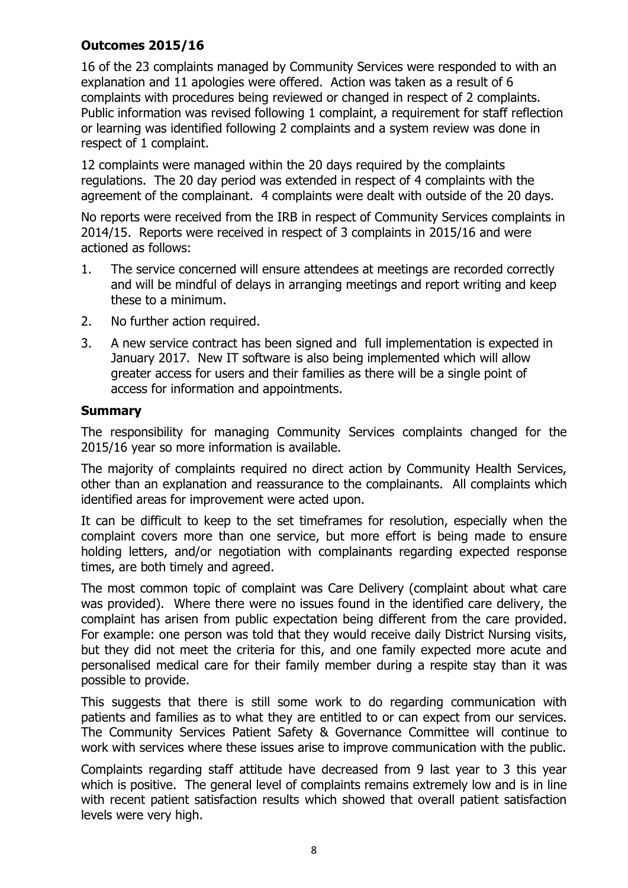## **Outcomes 2015/16**

16 of the 23 complaints managed by Community Services were responded to with an explanation and 11 apologies were offered. Action was taken as a result of 6 complaints with procedures being reviewed or changed in respect of 2 complaints. Public information was revised following 1 complaint, a requirement for staff reflection or learning was identified following 2 complaints and a system review was done in respect of 1 complaint.

12 complaints were managed within the 20 days required by the complaints regulations. The 20 day period was extended in respect of 4 complaints with the agreement of the complainant. 4 complaints were dealt with outside of the 20 days.

No reports were received from the IRB in respect of Community Services complaints in 2014/15. Reports were received in respect of 3 complaints in 2015/16 and were actioned as follows:

- 1. The service concerned will ensure attendees at meetings are recorded correctly and will be mindful of delays in arranging meetings and report writing and keep these to a minimum.
- 2. No further action required.
- 3. A new service contract has been signed and full implementation is expected in January 2017. New IT software is also being implemented which will allow greater access for users and their families as there will be a single point of access for information and appointments.

## **Summary**

The responsibility for managing Community Services complaints changed for the 2015/16 year so more information is available.

The majority of complaints required no direct action by Community Health Services, other than an explanation and reassurance to the complainants. All complaints which identified areas for improvement were acted upon.

It can be difficult to keep to the set timeframes for resolution, especially when the complaint covers more than one service, but more effort is being made to ensure holding letters, and/or negotiation with complainants regarding expected response times, are both timely and agreed.

The most common topic of complaint was Care Delivery (complaint about what care was provided). Where there were no issues found in the identified care delivery, the complaint has arisen from public expectation being different from the care provided. For example: one person was told that they would receive daily District Nursing visits, but they did not meet the criteria for this, and one family expected more acute and personalised medical care for their family member during a respite stay than it was possible to provide.

This suggests that there is still some work to do regarding communication with patients and families as to what they are entitled to or can expect from our services. The Community Services Patient Safety & Governance Committee will continue to work with services where these issues arise to improve communication with the public.

Complaints regarding staff attitude have decreased from 9 last year to 3 this year which is positive. The general level of complaints remains extremely low and is in line with recent patient satisfaction results which showed that overall patient satisfaction levels were very high.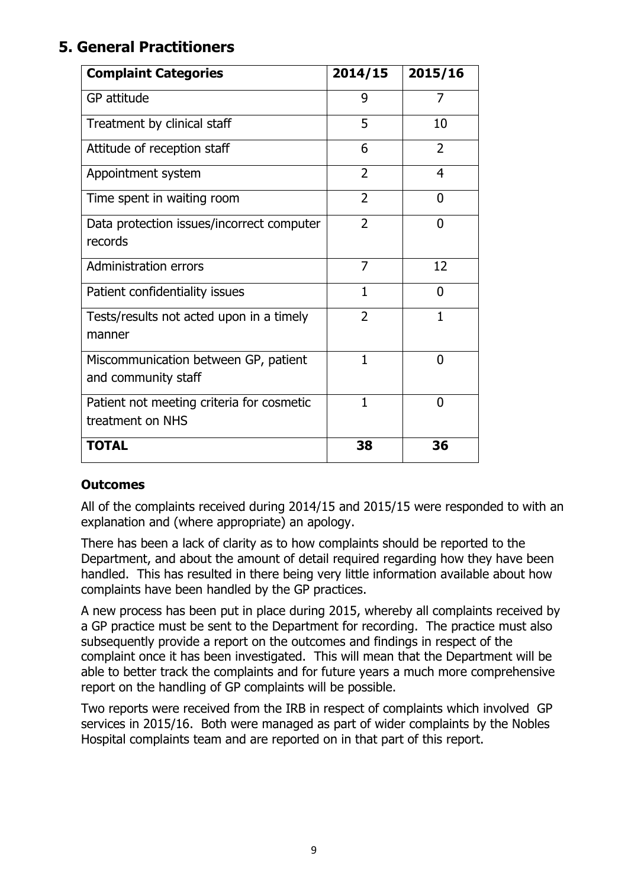# **5. General Practitioners**

| <b>Complaint Categories</b>                                   | 2014/15        | 2015/16        |
|---------------------------------------------------------------|----------------|----------------|
| GP attitude                                                   | 9              | 7              |
| Treatment by clinical staff                                   | 5              | 10             |
| Attitude of reception staff                                   | 6              | $\overline{2}$ |
| Appointment system                                            | $\overline{2}$ | $\overline{4}$ |
| Time spent in waiting room                                    | $\overline{2}$ | O              |
| Data protection issues/incorrect computer<br>records          | $\overline{2}$ | 0              |
| Administration errors                                         | 7              | 12             |
| Patient confidentiality issues                                | 1              | 0              |
| Tests/results not acted upon in a timely<br>manner            | $\overline{2}$ | 1              |
| Miscommunication between GP, patient<br>and community staff   | $\mathbf{1}$   | 0              |
| Patient not meeting criteria for cosmetic<br>treatment on NHS | $\mathbf{1}$   | 0              |
| <b>TOTAL</b>                                                  | 38             | 36             |

## **Outcomes**

All of the complaints received during 2014/15 and 2015/15 were responded to with an explanation and (where appropriate) an apology.

There has been a lack of clarity as to how complaints should be reported to the Department, and about the amount of detail required regarding how they have been handled. This has resulted in there being very little information available about how complaints have been handled by the GP practices.

A new process has been put in place during 2015, whereby all complaints received by a GP practice must be sent to the Department for recording. The practice must also subsequently provide a report on the outcomes and findings in respect of the complaint once it has been investigated. This will mean that the Department will be able to better track the complaints and for future years a much more comprehensive report on the handling of GP complaints will be possible.

Two reports were received from the IRB in respect of complaints which involved GP services in 2015/16. Both were managed as part of wider complaints by the Nobles Hospital complaints team and are reported on in that part of this report.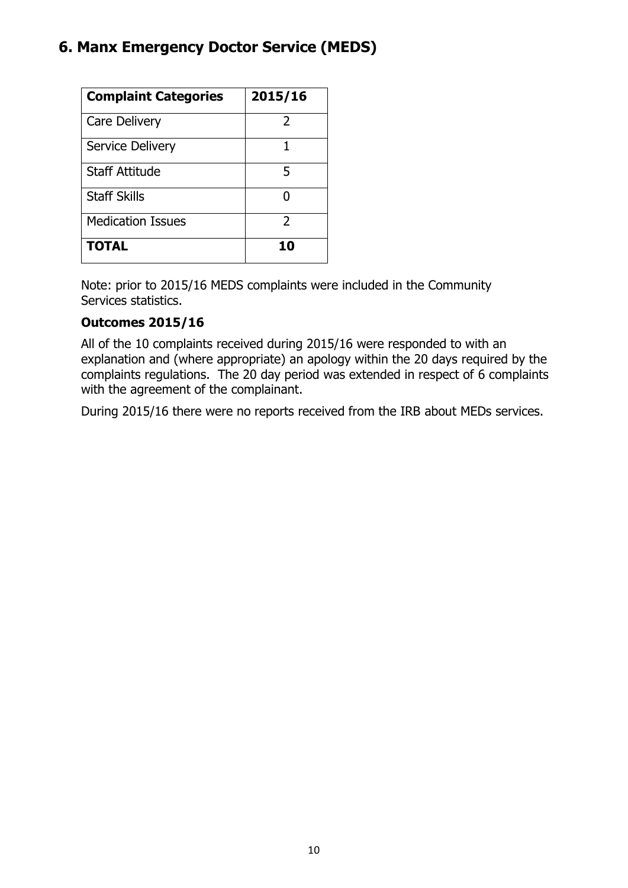# **6. Manx Emergency Doctor Service (MEDS)**

| <b>Complaint Categories</b> | 2015/16       |
|-----------------------------|---------------|
| Care Delivery               | 2             |
| <b>Service Delivery</b>     |               |
| <b>Staff Attitude</b>       | 5             |
| <b>Staff Skills</b>         |               |
| <b>Medication Issues</b>    | $\mathcal{P}$ |
| <b>TOTAL</b>                | 10            |

Note: prior to 2015/16 MEDS complaints were included in the Community Services statistics.

## **Outcomes 2015/16**

All of the 10 complaints received during 2015/16 were responded to with an explanation and (where appropriate) an apology within the 20 days required by the complaints regulations. The 20 day period was extended in respect of 6 complaints with the agreement of the complainant.

During 2015/16 there were no reports received from the IRB about MEDs services.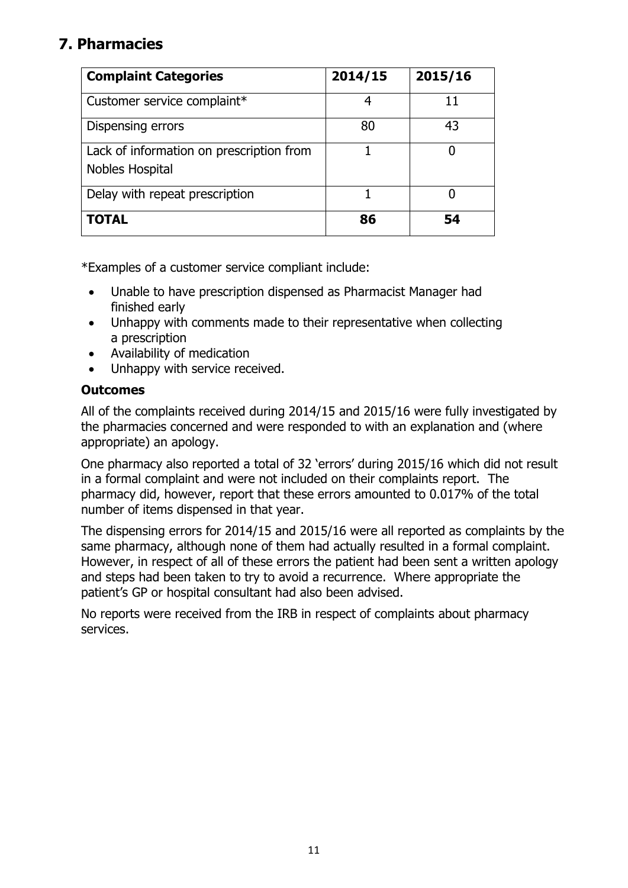# **7. Pharmacies**

| <b>Complaint Categories</b>                                 | 2014/15 | 2015/16 |
|-------------------------------------------------------------|---------|---------|
| Customer service complaint*                                 |         |         |
| Dispensing errors                                           | 80      | 43      |
| Lack of information on prescription from<br>Nobles Hospital |         |         |
| Delay with repeat prescription                              |         |         |
| <b>TOTAL</b>                                                | 86      | 54      |

\*Examples of a customer service compliant include:

- Unable to have prescription dispensed as Pharmacist Manager had finished early
- Unhappy with comments made to their representative when collecting a prescription
- Availability of medication
- Unhappy with service received.

## **Outcomes**

All of the complaints received during 2014/15 and 2015/16 were fully investigated by the pharmacies concerned and were responded to with an explanation and (where appropriate) an apology.

One pharmacy also reported a total of 32 'errors' during 2015/16 which did not result in a formal complaint and were not included on their complaints report. The pharmacy did, however, report that these errors amounted to 0.017% of the total number of items dispensed in that year.

The dispensing errors for 2014/15 and 2015/16 were all reported as complaints by the same pharmacy, although none of them had actually resulted in a formal complaint. However, in respect of all of these errors the patient had been sent a written apology and steps had been taken to try to avoid a recurrence. Where appropriate the patient's GP or hospital consultant had also been advised.

No reports were received from the IRB in respect of complaints about pharmacy services.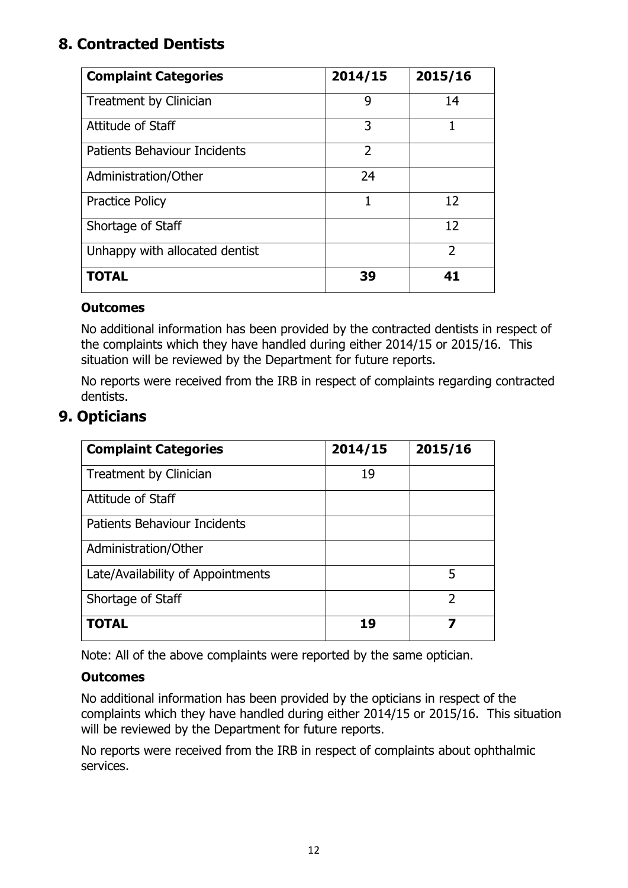# **8. Contracted Dentists**

| <b>Complaint Categories</b>         | 2014/15                  | 2015/16        |
|-------------------------------------|--------------------------|----------------|
| Treatment by Clinician              | 9                        | 14             |
| Attitude of Staff                   | 3                        |                |
| <b>Patients Behaviour Incidents</b> | $\overline{\phantom{a}}$ |                |
| Administration/Other                | 24                       |                |
| <b>Practice Policy</b>              | 1                        | 12             |
| Shortage of Staff                   |                          | 12             |
| Unhappy with allocated dentist      |                          | $\mathfrak{D}$ |
| <b>TOTAL</b>                        | 39                       | 41             |

## **Outcomes**

No additional information has been provided by the contracted dentists in respect of the complaints which they have handled during either 2014/15 or 2015/16. This situation will be reviewed by the Department for future reports.

No reports were received from the IRB in respect of complaints regarding contracted dentists.

## **9. Opticians**

| <b>Complaint Categories</b>         | 2014/15 | 2015/16        |
|-------------------------------------|---------|----------------|
| Treatment by Clinician              | 19      |                |
| Attitude of Staff                   |         |                |
| <b>Patients Behaviour Incidents</b> |         |                |
| Administration/Other                |         |                |
| Late/Availability of Appointments   |         | 5              |
| Shortage of Staff                   |         | $\mathfrak{D}$ |
| <b>TOTAL</b>                        | 19      |                |

Note: All of the above complaints were reported by the same optician.

## **Outcomes**

No additional information has been provided by the opticians in respect of the complaints which they have handled during either 2014/15 or 2015/16. This situation will be reviewed by the Department for future reports.

No reports were received from the IRB in respect of complaints about ophthalmic services.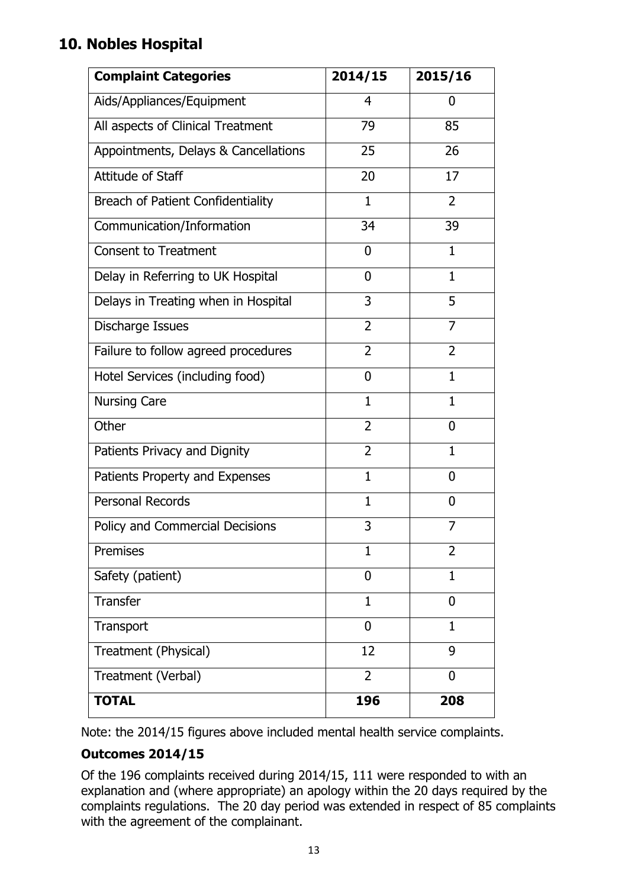# **10. Nobles Hospital**

| <b>Complaint Categories</b>              | 2014/15        | 2015/16        |
|------------------------------------------|----------------|----------------|
| Aids/Appliances/Equipment                | 4              | 0              |
| All aspects of Clinical Treatment        | 79             | 85             |
| Appointments, Delays & Cancellations     | 25             | 26             |
| Attitude of Staff                        | 20             | 17             |
| <b>Breach of Patient Confidentiality</b> | 1              | 2              |
| Communication/Information                | 34             | 39             |
| <b>Consent to Treatment</b>              | 0              | 1              |
| Delay in Referring to UK Hospital        | 0              | 1              |
| Delays in Treating when in Hospital      | 3              | 5              |
| Discharge Issues                         | $\overline{2}$ | 7              |
| Failure to follow agreed procedures      | $\overline{2}$ | $\overline{2}$ |
| Hotel Services (including food)          | 0              | $\mathbf{1}$   |
| <b>Nursing Care</b>                      | 1              | 1              |
| Other                                    | $\overline{2}$ | 0              |
| Patients Privacy and Dignity             | 2              | $\mathbf{1}$   |
| Patients Property and Expenses           | $\mathbf{1}$   | 0              |
| <b>Personal Records</b>                  | $\mathbf{1}$   | $\mathbf{0}$   |
| Policy and Commercial Decisions          | 3              | 7              |
| Premises                                 | $\overline{1}$ | $\overline{2}$ |
| Safety (patient)                         | $\overline{0}$ | $\mathbf{1}$   |
| <b>Transfer</b>                          | 1              | 0              |
| Transport                                | $\overline{0}$ | 1              |
| Treatment (Physical)                     | 12             | 9              |
| Treatment (Verbal)                       | $\overline{2}$ | 0              |
| <b>TOTAL</b>                             | 196            | 208            |

Note: the 2014/15 figures above included mental health service complaints.

## **Outcomes 2014/15**

Of the 196 complaints received during 2014/15, 111 were responded to with an explanation and (where appropriate) an apology within the 20 days required by the complaints regulations. The 20 day period was extended in respect of 85 complaints with the agreement of the complainant.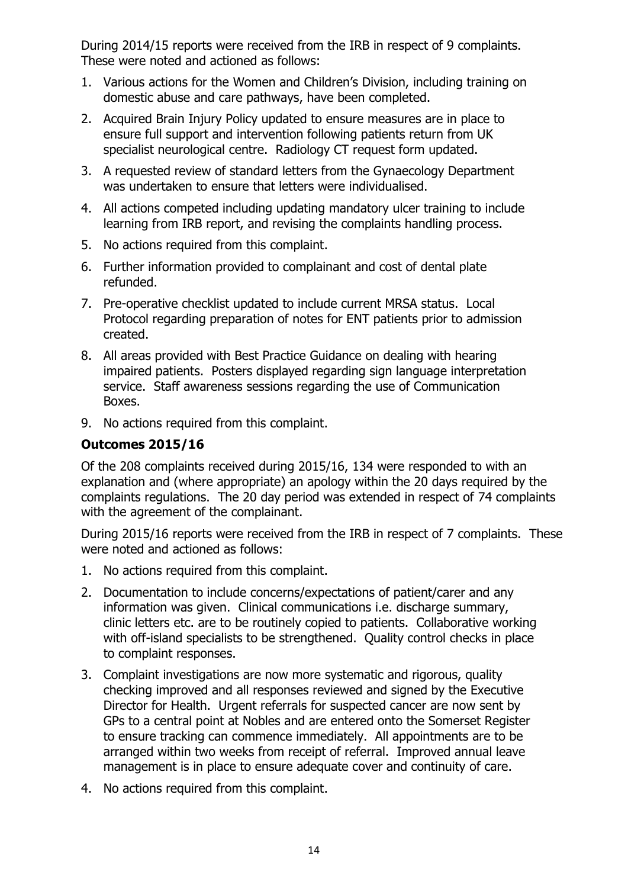During 2014/15 reports were received from the IRB in respect of 9 complaints. These were noted and actioned as follows:

- 1. Various actions for the Women and Children's Division, including training on domestic abuse and care pathways, have been completed.
- 2. Acquired Brain Injury Policy updated to ensure measures are in place to ensure full support and intervention following patients return from UK specialist neurological centre. Radiology CT request form updated.
- 3. A requested review of standard letters from the Gynaecology Department was undertaken to ensure that letters were individualised.
- 4. All actions competed including updating mandatory ulcer training to include learning from IRB report, and revising the complaints handling process.
- 5. No actions required from this complaint.
- 6. Further information provided to complainant and cost of dental plate refunded.
- 7. Pre-operative checklist updated to include current MRSA status. Local Protocol regarding preparation of notes for ENT patients prior to admission created.
- 8. All areas provided with Best Practice Guidance on dealing with hearing impaired patients. Posters displayed regarding sign language interpretation service. Staff awareness sessions regarding the use of Communication Boxes.
- 9. No actions required from this complaint.

#### **Outcomes 2015/16**

Of the 208 complaints received during 2015/16, 134 were responded to with an explanation and (where appropriate) an apology within the 20 days required by the complaints regulations. The 20 day period was extended in respect of 74 complaints with the agreement of the complainant.

During 2015/16 reports were received from the IRB in respect of 7 complaints. These were noted and actioned as follows:

- 1. No actions required from this complaint.
- 2. Documentation to include concerns/expectations of patient/carer and any information was given. Clinical communications i.e. discharge summary, clinic letters etc. are to be routinely copied to patients. Collaborative working with off-island specialists to be strengthened. Quality control checks in place to complaint responses.
- 3. Complaint investigations are now more systematic and rigorous, quality checking improved and all responses reviewed and signed by the Executive Director for Health. Urgent referrals for suspected cancer are now sent by GPs to a central point at Nobles and are entered onto the Somerset Register to ensure tracking can commence immediately. All appointments are to be arranged within two weeks from receipt of referral. Improved annual leave management is in place to ensure adequate cover and continuity of care.
- 4. No actions required from this complaint.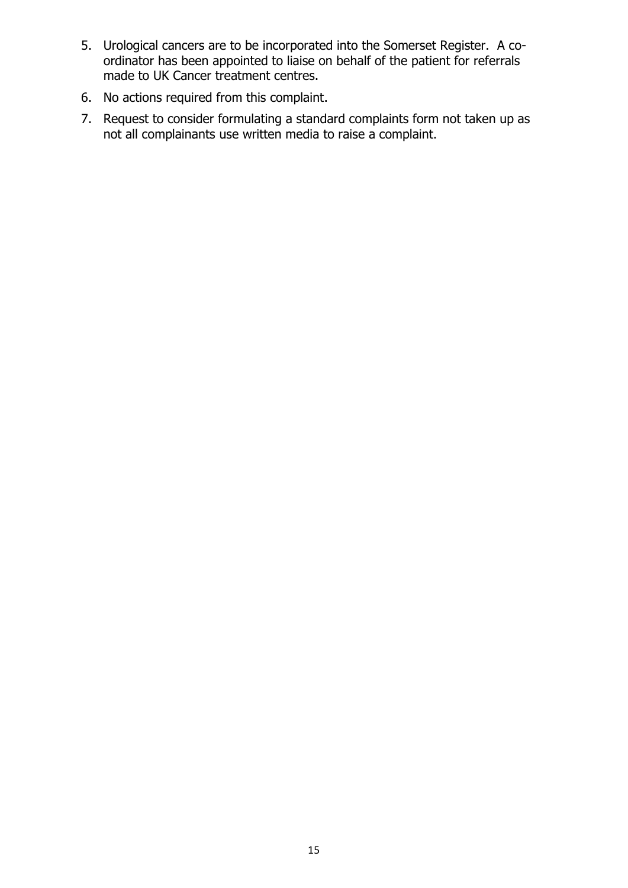- 5. Urological cancers are to be incorporated into the Somerset Register. A coordinator has been appointed to liaise on behalf of the patient for referrals made to UK Cancer treatment centres.
- 6. No actions required from this complaint.
- 7. Request to consider formulating a standard complaints form not taken up as not all complainants use written media to raise a complaint.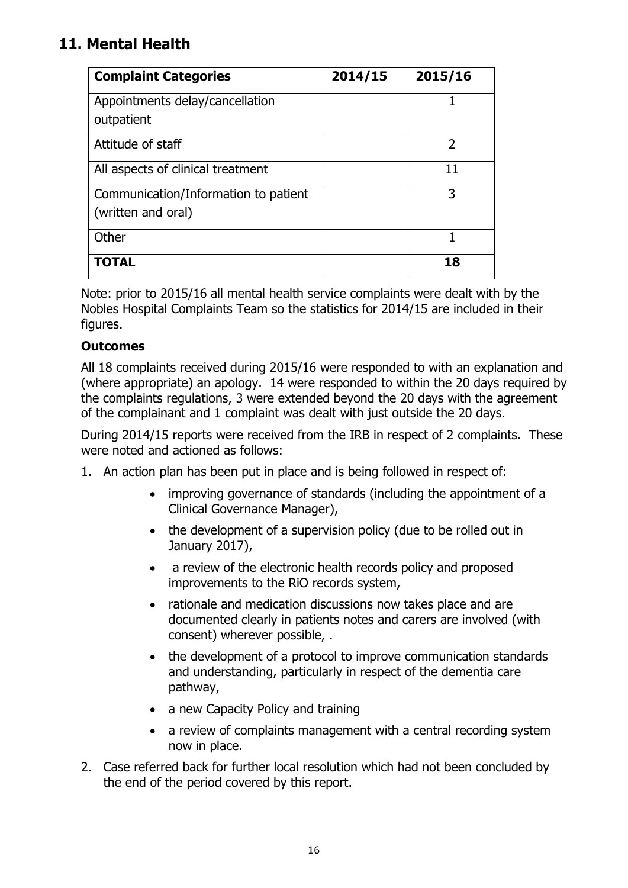# **11. Mental Health**

| <b>Complaint Categories</b>                                | 2014/15 | 2015/16 |
|------------------------------------------------------------|---------|---------|
| Appointments delay/cancellation<br>outpatient              |         |         |
| Attitude of staff                                          |         | 2       |
| All aspects of clinical treatment                          |         | 11      |
| Communication/Information to patient<br>(written and oral) |         | 3       |
| Other                                                      |         |         |
| <b>TOTAL</b>                                               |         | 18      |

Note: prior to 2015/16 all mental health service complaints were dealt with by the Nobles Hospital Complaints Team so the statistics for 2014/15 are included in their figures.

## **Outcomes**

All 18 complaints received during 2015/16 were responded to with an explanation and (where appropriate) an apology. 14 were responded to within the 20 days required by the complaints regulations, 3 were extended beyond the 20 days with the agreement of the complainant and 1 complaint was dealt with just outside the 20 days.

During 2014/15 reports were received from the IRB in respect of 2 complaints. These were noted and actioned as follows:

- 1. An action plan has been put in place and is being followed in respect of:
	- improving governance of standards (including the appointment of a Clinical Governance Manager),
	- the development of a supervision policy (due to be rolled out in January 2017),
	- a review of the electronic health records policy and proposed improvements to the RiO records system,
	- rationale and medication discussions now takes place and are documented clearly in patients notes and carers are involved (with consent) wherever possible, .
	- the development of a protocol to improve communication standards and understanding, particularly in respect of the dementia care pathway,
	- a new Capacity Policy and training
	- a review of complaints management with a central recording system now in place.
- 2. Case referred back for further local resolution which had not been concluded by the end of the period covered by this report.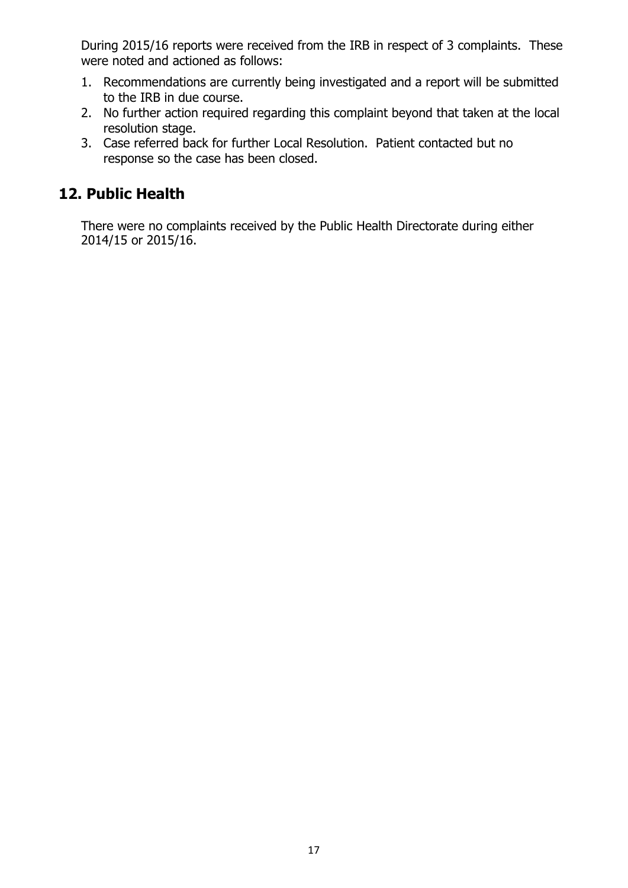During 2015/16 reports were received from the IRB in respect of 3 complaints. These were noted and actioned as follows:

- 1. Recommendations are currently being investigated and a report will be submitted to the IRB in due course.
- 2. No further action required regarding this complaint beyond that taken at the local resolution stage.
- 3. Case referred back for further Local Resolution. Patient contacted but no response so the case has been closed.

## **12. Public Health**

There were no complaints received by the Public Health Directorate during either 2014/15 or 2015/16.